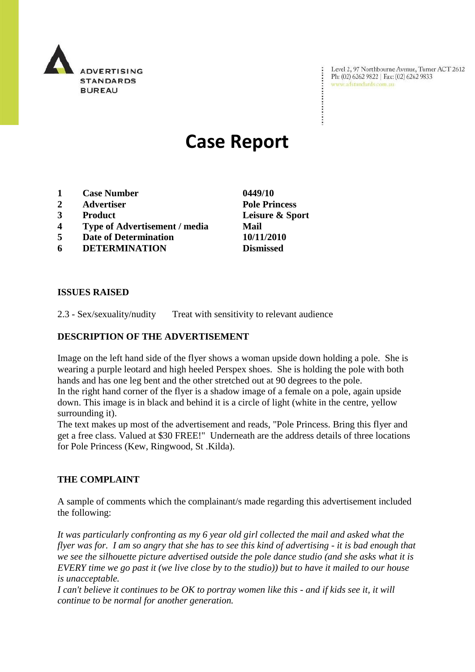

Level 2, 97 Northbourne Avenue, Turner ACT 2612 Ph: (02) 6262 9822 | Fax: (02) 6262 9833 www.adstandards.com.au

# **Case Report**

- **1 Case Number 0449/10**
- **2 Advertiser Pole Princess**
- **3 Product Leisure & Sport**
- **4 Type of Advertisement / media Mail**
- **5 Date of Determination 10/11/2010**
- **6 DETERMINATION Dismissed**

**ISSUES RAISED**

2.3 - Sex/sexuality/nudity Treat with sensitivity to relevant audience

### **DESCRIPTION OF THE ADVERTISEMENT**

Image on the left hand side of the flyer shows a woman upside down holding a pole. She is wearing a purple leotard and high heeled Perspex shoes. She is holding the pole with both hands and has one leg bent and the other stretched out at 90 degrees to the pole.

In the right hand corner of the flyer is a shadow image of a female on a pole, again upside down. This image is in black and behind it is a circle of light (white in the centre, yellow surrounding it).

The text makes up most of the advertisement and reads, "Pole Princess. Bring this flyer and get a free class. Valued at \$30 FREE!" Underneath are the address details of three locations for Pole Princess (Kew, Ringwood, St .Kilda).

#### **THE COMPLAINT**

A sample of comments which the complainant/s made regarding this advertisement included the following:

*It was particularly confronting as my 6 year old girl collected the mail and asked what the flyer was for. I am so angry that she has to see this kind of advertising - it is bad enough that we see the silhouette picture advertised outside the pole dance studio (and she asks what it is EVERY time we go past it (we live close by to the studio)) but to have it mailed to our house is unacceptable.* 

*I can't believe it continues to be OK to portray women like this - and if kids see it, it will continue to be normal for another generation.*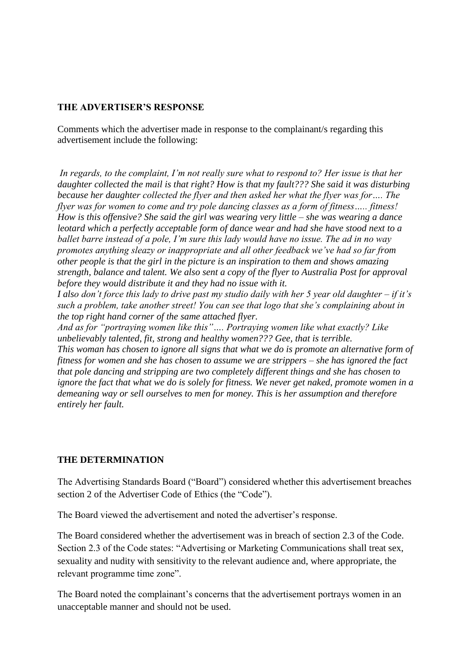## **THE ADVERTISER'S RESPONSE**

Comments which the advertiser made in response to the complainant/s regarding this advertisement include the following:

*In regards, to the complaint, I'm not really sure what to respond to? Her issue is that her daughter collected the mail is that right? How is that my fault??? She said it was disturbing because her daughter collected the flyer and then asked her what the flyer was for…. The flyer was for women to come and try pole dancing classes as a form of fitness….. fitness! How is this offensive? She said the girl was wearing very little – she was wearing a dance leotard which a perfectly acceptable form of dance wear and had she have stood next to a ballet barre instead of a pole, I'm sure this lady would have no issue. The ad in no way promotes anything sleazy or inappropriate and all other feedback we've had so far from other people is that the girl in the picture is an inspiration to them and shows amazing strength, balance and talent. We also sent a copy of the flyer to Australia Post for approval before they would distribute it and they had no issue with it.* 

*I also don't force this lady to drive past my studio daily with her 5 year old daughter – if it's such a problem, take another street! You can see that logo that she's complaining about in the top right hand corner of the same attached flyer.*

*And as for "portraying women like this"…. Portraying women like what exactly? Like unbelievably talented, fit, strong and healthy women??? Gee, that is terrible. This woman has chosen to ignore all signs that what we do is promote an alternative form of fitness for women and she has chosen to assume we are strippers – she has ignored the fact that pole dancing and stripping are two completely different things and she has chosen to ignore the fact that what we do is solely for fitness. We never get naked, promote women in a demeaning way or sell ourselves to men for money. This is her assumption and therefore entirely her fault.*

#### **THE DETERMINATION**

The Advertising Standards Board ("Board") considered whether this advertisement breaches section 2 of the Advertiser Code of Ethics (the "Code").

The Board viewed the advertisement and noted the advertiser's response.

The Board considered whether the advertisement was in breach of section 2.3 of the Code. Section 2.3 of the Code states: "Advertising or Marketing Communications shall treat sex, sexuality and nudity with sensitivity to the relevant audience and, where appropriate, the relevant programme time zone".

The Board noted the complainant's concerns that the advertisement portrays women in an unacceptable manner and should not be used.